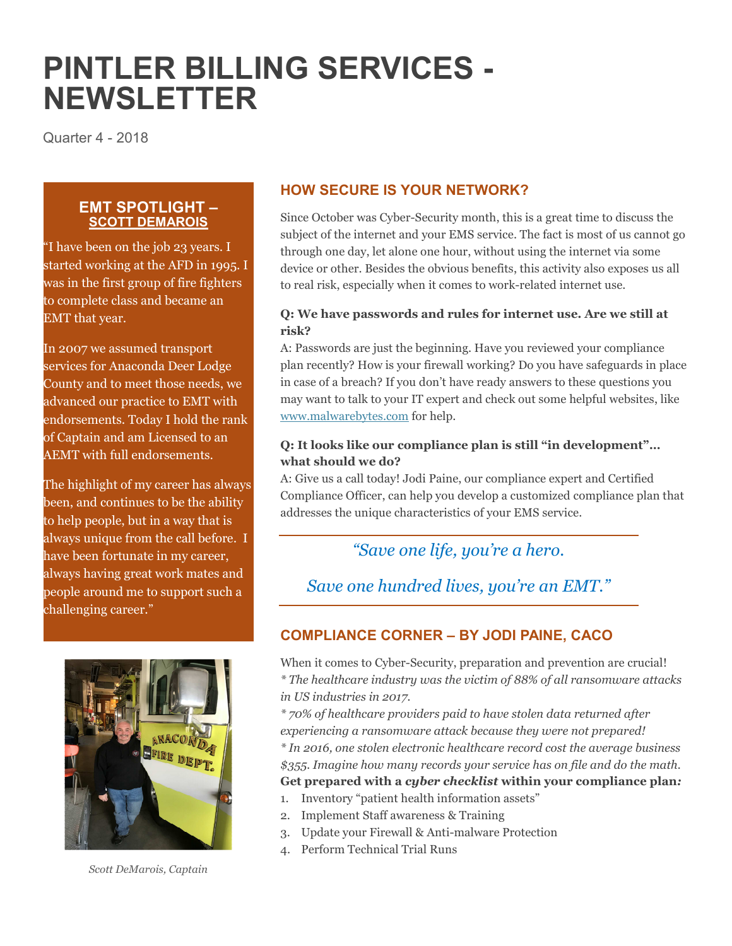# **PINTLER BILLING SERVICES - NEWSLETTER**

Quarter 4 - 2018

## **EMT SPOTLIGHT – SCOTT DEMAROIS**

"I have been on the job 23 years. I started working at the AFD in 1995. I was in the first group of fire fighters to complete class and became an EMT that year.

In 2007 we assumed transport services for Anaconda Deer Lodge County and to meet those needs, we advanced our practice to EMT with endorsements. Today I hold the rank of Captain and am Licensed to an AEMT with full endorsements.

The highlight of my career has always been, and continues to be the ability to help people, but in a way that is always unique from the call before. I have been fortunate in my career, always having great work mates and people around me to support such a challenging career."



*Scott DeMarois, Captain* 

# **HOW SECURE IS YOUR NETWORK?**

Since October was Cyber-Security month, this is a great time to discuss the subject of the internet and your EMS service. The fact is most of us cannot go through one day, let alone one hour, without using the internet via some device or other. Besides the obvious benefits, this activity also exposes us all to real risk, especially when it comes to work-related internet use.

#### **Q: We have passwords and rules for internet use. Are we still at risk?**

A: Passwords are just the beginning. Have you reviewed your compliance plan recently? How is your firewall working? Do you have safeguards in place in case of a breach? If you don't have ready answers to these questions you may want to talk to your IT expert and check out some helpful websites, like www.malwarebytes.com for help.

### **Q: It looks like our compliance plan is still "in development"… what should we do?**

A: Give us a call today! Jodi Paine, our compliance expert and Certified Compliance Officer, can help you develop a customized compliance plan that addresses the unique characteristics of your EMS service.

# *"Save one life, you're a hero.*

*Save one hundred lives, you're an EMT."* 

# **COMPLIANCE CORNER – BY JODI PAINE, CACO**

When it comes to Cyber-Security, preparation and prevention are crucial! *\* The healthcare industry was the victim of 88% of all ransomware attacks in US industries in 2017.* 

*\* 70% of healthcare providers paid to have stolen data returned after experiencing a ransomware attack because they were not prepared!* 

*\* In 2016, one stolen electronic healthcare record cost the average business \$355. Imagine how many records your service has on file and do the math.*  **Get prepared with a** *cyber checklist* **within your compliance plan***:*

- 1. Inventory "patient health information assets"
- 2. Implement Staff awareness & Training
- 3. Update your Firewall & Anti-malware Protection
- 4. Perform Technical Trial Runs